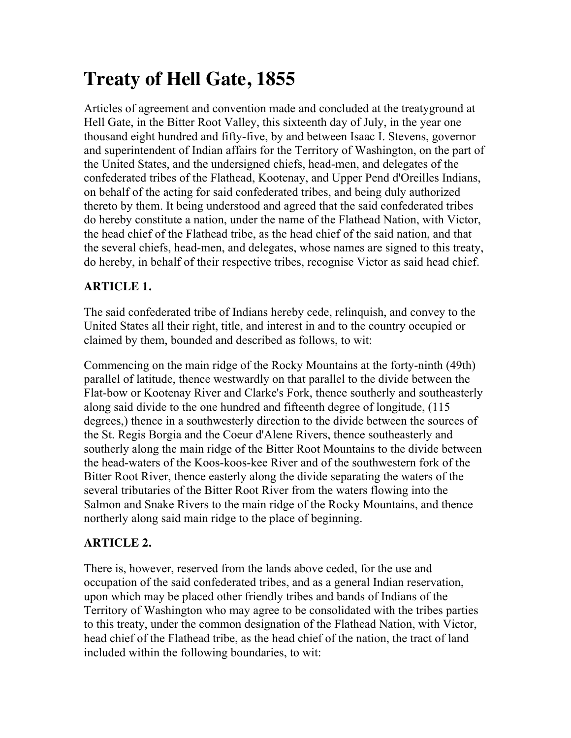# **Treaty of Hell Gate, 1855**

Articles of agreement and convention made and concluded at the treatyground at Hell Gate, in the Bitter Root Valley, this sixteenth day of July, in the year one thousand eight hundred and fifty-five, by and between Isaac I. Stevens, governor and superintendent of Indian affairs for the Territory of Washington, on the part of the United States, and the undersigned chiefs, head-men, and delegates of the confederated tribes of the Flathead, Kootenay, and Upper Pend d'Oreilles Indians, on behalf of the acting for said confederated tribes, and being duly authorized thereto by them. It being understood and agreed that the said confederated tribes do hereby constitute a nation, under the name of the Flathead Nation, with Victor, the head chief of the Flathead tribe, as the head chief of the said nation, and that the several chiefs, head-men, and delegates, whose names are signed to this treaty, do hereby, in behalf of their respective tribes, recognise Victor as said head chief.

## **ARTICLE 1.**

The said confederated tribe of Indians hereby cede, relinquish, and convey to the United States all their right, title, and interest in and to the country occupied or claimed by them, bounded and described as follows, to wit:

Commencing on the main ridge of the Rocky Mountains at the forty-ninth (49th) parallel of latitude, thence westwardly on that parallel to the divide between the Flat-bow or Kootenay River and Clarke's Fork, thence southerly and southeasterly along said divide to the one hundred and fifteenth degree of longitude, (115 degrees,) thence in a southwesterly direction to the divide between the sources of the St. Regis Borgia and the Coeur d'Alene Rivers, thence southeasterly and southerly along the main ridge of the Bitter Root Mountains to the divide between the head-waters of the Koos-koos-kee River and of the southwestern fork of the Bitter Root River, thence easterly along the divide separating the waters of the several tributaries of the Bitter Root River from the waters flowing into the Salmon and Snake Rivers to the main ridge of the Rocky Mountains, and thence northerly along said main ridge to the place of beginning.

## **ARTICLE 2.**

There is, however, reserved from the lands above ceded, for the use and occupation of the said confederated tribes, and as a general Indian reservation, upon which may be placed other friendly tribes and bands of Indians of the Territory of Washington who may agree to be consolidated with the tribes parties to this treaty, under the common designation of the Flathead Nation, with Victor, head chief of the Flathead tribe, as the head chief of the nation, the tract of land included within the following boundaries, to wit: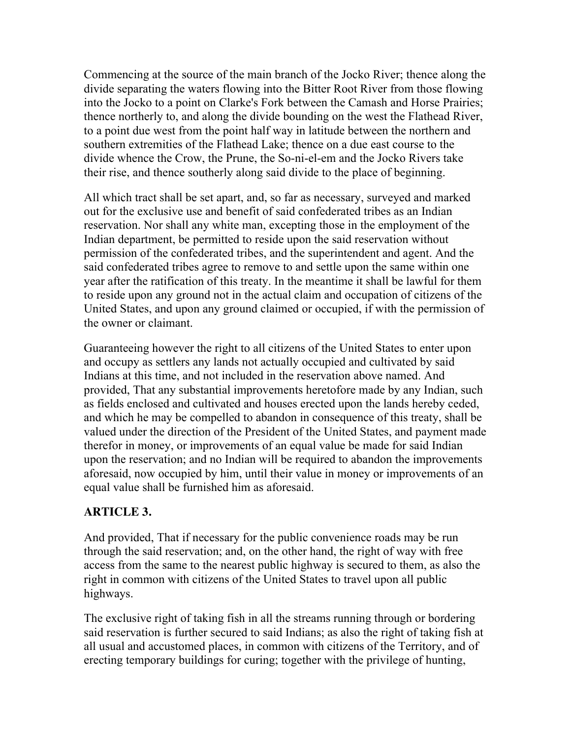Commencing at the source of the main branch of the Jocko River; thence along the divide separating the waters flowing into the Bitter Root River from those flowing into the Jocko to a point on Clarke's Fork between the Camash and Horse Prairies; thence northerly to, and along the divide bounding on the west the Flathead River, to a point due west from the point half way in latitude between the northern and southern extremities of the Flathead Lake; thence on a due east course to the divide whence the Crow, the Prune, the So-ni-el-em and the Jocko Rivers take their rise, and thence southerly along said divide to the place of beginning.

All which tract shall be set apart, and, so far as necessary, surveyed and marked out for the exclusive use and benefit of said confederated tribes as an Indian reservation. Nor shall any white man, excepting those in the employment of the Indian department, be permitted to reside upon the said reservation without permission of the confederated tribes, and the superintendent and agent. And the said confederated tribes agree to remove to and settle upon the same within one year after the ratification of this treaty. In the meantime it shall be lawful for them to reside upon any ground not in the actual claim and occupation of citizens of the United States, and upon any ground claimed or occupied, if with the permission of the owner or claimant.

Guaranteeing however the right to all citizens of the United States to enter upon and occupy as settlers any lands not actually occupied and cultivated by said Indians at this time, and not included in the reservation above named. And provided, That any substantial improvements heretofore made by any Indian, such as fields enclosed and cultivated and houses erected upon the lands hereby ceded, and which he may be compelled to abandon in consequence of this treaty, shall be valued under the direction of the President of the United States, and payment made therefor in money, or improvements of an equal value be made for said Indian upon the reservation; and no Indian will be required to abandon the improvements aforesaid, now occupied by him, until their value in money or improvements of an equal value shall be furnished him as aforesaid.

#### **ARTICLE 3.**

And provided, That if necessary for the public convenience roads may be run through the said reservation; and, on the other hand, the right of way with free access from the same to the nearest public highway is secured to them, as also the right in common with citizens of the United States to travel upon all public highways.

The exclusive right of taking fish in all the streams running through or bordering said reservation is further secured to said Indians; as also the right of taking fish at all usual and accustomed places, in common with citizens of the Territory, and of erecting temporary buildings for curing; together with the privilege of hunting,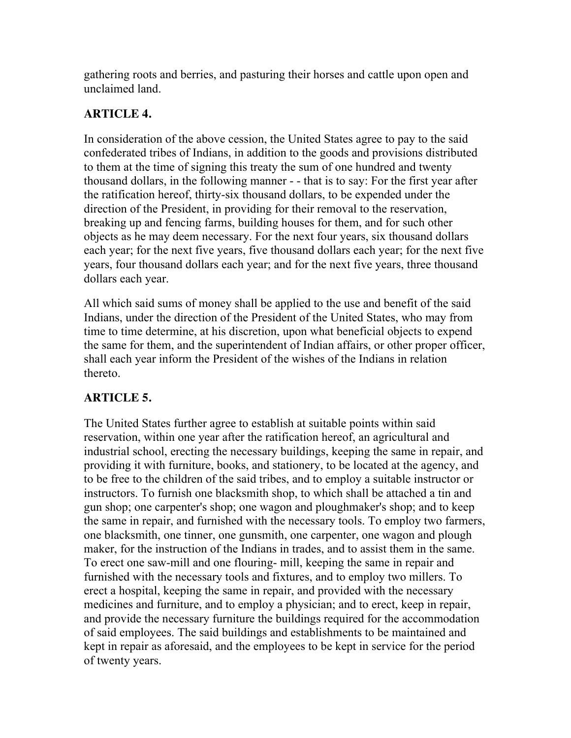gathering roots and berries, and pasturing their horses and cattle upon open and unclaimed land.

### **ARTICLE 4.**

In consideration of the above cession, the United States agree to pay to the said confederated tribes of Indians, in addition to the goods and provisions distributed to them at the time of signing this treaty the sum of one hundred and twenty thousand dollars, in the following manner - - that is to say: For the first year after the ratification hereof, thirty-six thousand dollars, to be expended under the direction of the President, in providing for their removal to the reservation, breaking up and fencing farms, building houses for them, and for such other objects as he may deem necessary. For the next four years, six thousand dollars each year; for the next five years, five thousand dollars each year; for the next five years, four thousand dollars each year; and for the next five years, three thousand dollars each year.

All which said sums of money shall be applied to the use and benefit of the said Indians, under the direction of the President of the United States, who may from time to time determine, at his discretion, upon what beneficial objects to expend the same for them, and the superintendent of Indian affairs, or other proper officer, shall each year inform the President of the wishes of the Indians in relation thereto.

## **ARTICLE 5.**

The United States further agree to establish at suitable points within said reservation, within one year after the ratification hereof, an agricultural and industrial school, erecting the necessary buildings, keeping the same in repair, and providing it with furniture, books, and stationery, to be located at the agency, and to be free to the children of the said tribes, and to employ a suitable instructor or instructors. To furnish one blacksmith shop, to which shall be attached a tin and gun shop; one carpenter's shop; one wagon and ploughmaker's shop; and to keep the same in repair, and furnished with the necessary tools. To employ two farmers, one blacksmith, one tinner, one gunsmith, one carpenter, one wagon and plough maker, for the instruction of the Indians in trades, and to assist them in the same. To erect one saw-mill and one flouring- mill, keeping the same in repair and furnished with the necessary tools and fixtures, and to employ two millers. To erect a hospital, keeping the same in repair, and provided with the necessary medicines and furniture, and to employ a physician; and to erect, keep in repair, and provide the necessary furniture the buildings required for the accommodation of said employees. The said buildings and establishments to be maintained and kept in repair as aforesaid, and the employees to be kept in service for the period of twenty years.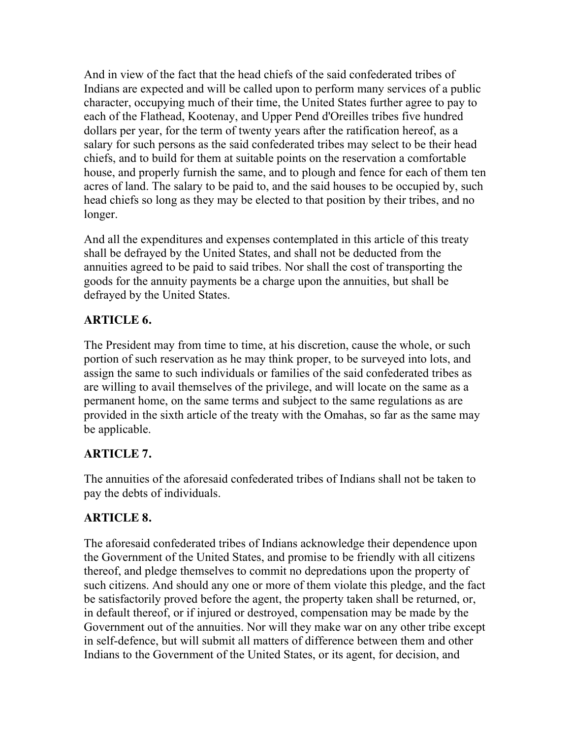And in view of the fact that the head chiefs of the said confederated tribes of Indians are expected and will be called upon to perform many services of a public character, occupying much of their time, the United States further agree to pay to each of the Flathead, Kootenay, and Upper Pend d'Oreilles tribes five hundred dollars per year, for the term of twenty years after the ratification hereof, as a salary for such persons as the said confederated tribes may select to be their head chiefs, and to build for them at suitable points on the reservation a comfortable house, and properly furnish the same, and to plough and fence for each of them ten acres of land. The salary to be paid to, and the said houses to be occupied by, such head chiefs so long as they may be elected to that position by their tribes, and no longer.

And all the expenditures and expenses contemplated in this article of this treaty shall be defrayed by the United States, and shall not be deducted from the annuities agreed to be paid to said tribes. Nor shall the cost of transporting the goods for the annuity payments be a charge upon the annuities, but shall be defrayed by the United States.

## **ARTICLE 6.**

The President may from time to time, at his discretion, cause the whole, or such portion of such reservation as he may think proper, to be surveyed into lots, and assign the same to such individuals or families of the said confederated tribes as are willing to avail themselves of the privilege, and will locate on the same as a permanent home, on the same terms and subject to the same regulations as are provided in the sixth article of the treaty with the Omahas, so far as the same may be applicable.

### **ARTICLE 7.**

The annuities of the aforesaid confederated tribes of Indians shall not be taken to pay the debts of individuals.

### **ARTICLE 8.**

The aforesaid confederated tribes of Indians acknowledge their dependence upon the Government of the United States, and promise to be friendly with all citizens thereof, and pledge themselves to commit no depredations upon the property of such citizens. And should any one or more of them violate this pledge, and the fact be satisfactorily proved before the agent, the property taken shall be returned, or, in default thereof, or if injured or destroyed, compensation may be made by the Government out of the annuities. Nor will they make war on any other tribe except in self-defence, but will submit all matters of difference between them and other Indians to the Government of the United States, or its agent, for decision, and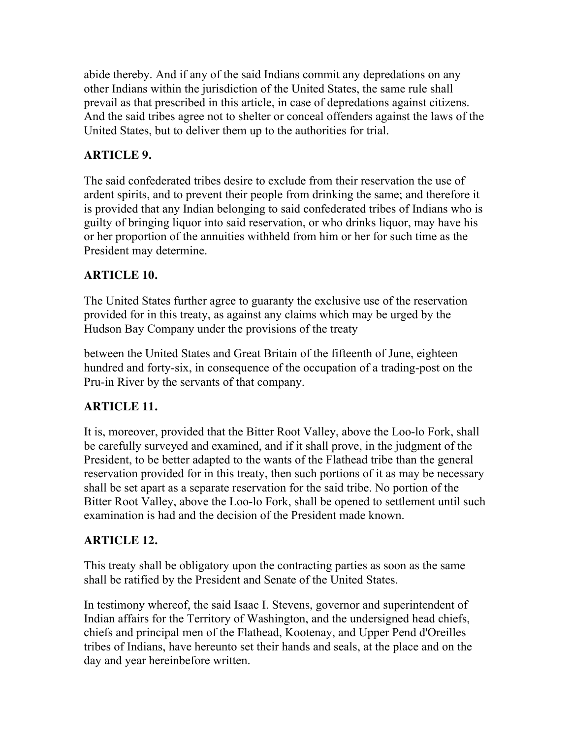abide thereby. And if any of the said Indians commit any depredations on any other Indians within the jurisdiction of the United States, the same rule shall prevail as that prescribed in this article, in case of depredations against citizens. And the said tribes agree not to shelter or conceal offenders against the laws of the United States, but to deliver them up to the authorities for trial.

## **ARTICLE 9.**

The said confederated tribes desire to exclude from their reservation the use of ardent spirits, and to prevent their people from drinking the same; and therefore it is provided that any Indian belonging to said confederated tribes of Indians who is guilty of bringing liquor into said reservation, or who drinks liquor, may have his or her proportion of the annuities withheld from him or her for such time as the President may determine.

## **ARTICLE 10.**

The United States further agree to guaranty the exclusive use of the reservation provided for in this treaty, as against any claims which may be urged by the Hudson Bay Company under the provisions of the treaty

between the United States and Great Britain of the fifteenth of June, eighteen hundred and forty-six, in consequence of the occupation of a trading-post on the Pru-in River by the servants of that company.

### **ARTICLE 11.**

It is, moreover, provided that the Bitter Root Valley, above the Loo-lo Fork, shall be carefully surveyed and examined, and if it shall prove, in the judgment of the President, to be better adapted to the wants of the Flathead tribe than the general reservation provided for in this treaty, then such portions of it as may be necessary shall be set apart as a separate reservation for the said tribe. No portion of the Bitter Root Valley, above the Loo-lo Fork, shall be opened to settlement until such examination is had and the decision of the President made known.

### **ARTICLE 12.**

This treaty shall be obligatory upon the contracting parties as soon as the same shall be ratified by the President and Senate of the United States.

In testimony whereof, the said Isaac I. Stevens, governor and superintendent of Indian affairs for the Territory of Washington, and the undersigned head chiefs, chiefs and principal men of the Flathead, Kootenay, and Upper Pend d'Oreilles tribes of Indians, have hereunto set their hands and seals, at the place and on the day and year hereinbefore written.